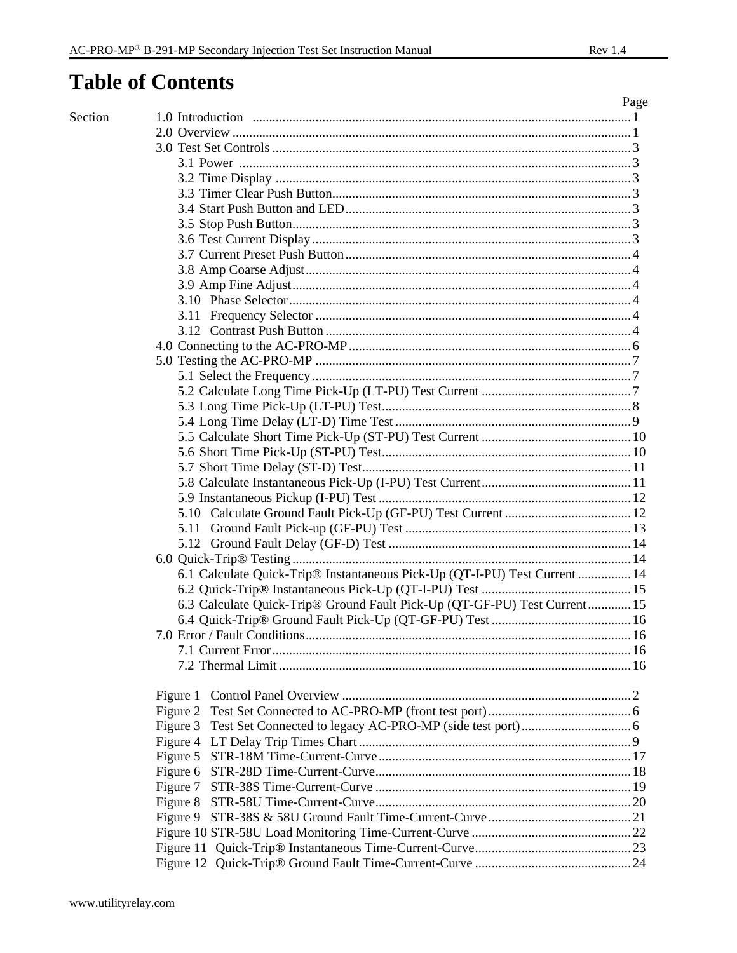# **Table of Contents**

|         |                                                                            | Page |
|---------|----------------------------------------------------------------------------|------|
| Section |                                                                            |      |
|         |                                                                            |      |
|         |                                                                            |      |
|         |                                                                            |      |
|         |                                                                            |      |
|         |                                                                            |      |
|         |                                                                            |      |
|         |                                                                            |      |
|         |                                                                            |      |
|         |                                                                            |      |
|         |                                                                            |      |
|         |                                                                            |      |
|         |                                                                            |      |
|         |                                                                            |      |
|         |                                                                            |      |
|         |                                                                            |      |
|         |                                                                            |      |
|         |                                                                            |      |
|         |                                                                            |      |
|         |                                                                            |      |
|         |                                                                            |      |
|         |                                                                            |      |
|         |                                                                            |      |
|         |                                                                            |      |
|         |                                                                            |      |
|         |                                                                            |      |
|         |                                                                            |      |
|         |                                                                            |      |
|         |                                                                            |      |
|         |                                                                            |      |
|         | 6.1 Calculate Quick-Trip® Instantaneous Pick-Up (QT-I-PU) Test Current  14 |      |
|         |                                                                            |      |
|         | 6.3 Calculate Quick-Trip® Ground Fault Pick-Up (QT-GF-PU) Test Current 15  |      |
|         |                                                                            |      |
|         | 7.0 Error / Fault Conditions                                               |      |
|         |                                                                            |      |
|         |                                                                            |      |
|         |                                                                            |      |
|         |                                                                            |      |
|         |                                                                            |      |
|         |                                                                            |      |
|         |                                                                            |      |
|         |                                                                            |      |
|         |                                                                            |      |
|         |                                                                            |      |
|         |                                                                            |      |
|         |                                                                            |      |
|         |                                                                            |      |
|         |                                                                            |      |
|         |                                                                            |      |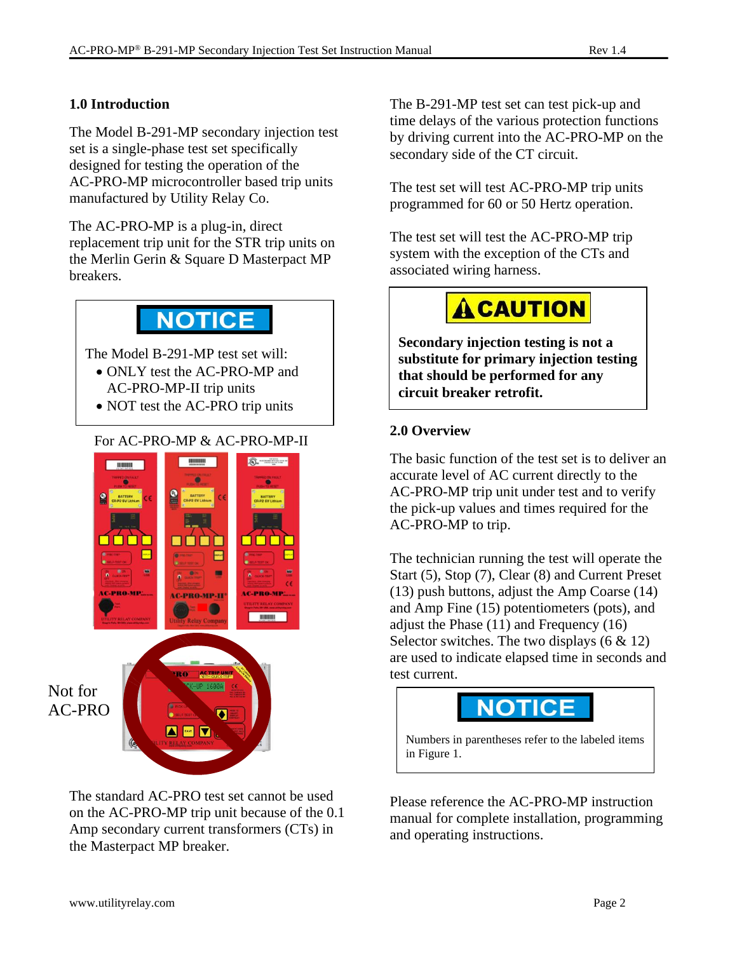#### **1.0 Introduction**

The Model B-291-MP secondary injection test set is a single-phase test set specifically designed for testing the operation of the AC-PRO-MP microcontroller based trip units manufactured by Utility Relay Co.

The AC-PRO-MP is a plug-in, direct replacement trip unit for the STR trip units on the Merlin Gerin & Square D Masterpact MP breakers.



The Model B-291-MP test set will:

- ONLY test the AC-PRO-MP and
- AC-PRO-MP-II trip units
- NOT test the AC-PRO trip units

# For AC-PRO-MP & AC-PRO-MP-II



The standard AC-PRO test set cannot be used on the AC-PRO-MP trip unit because of the 0.1 Amp secondary current transformers (CTs) in the Masterpact MP breaker.

The B-291-MP test set can test pick-up and time delays of the various protection functions by driving current into the AC-PRO-MP on the secondary side of the CT circuit.

The test set will test AC-PRO-MP trip units programmed for 60 or 50 Hertz operation.

The test set will test the AC-PRO-MP trip system with the exception of the CTs and associated wiring harness.



**Secondary injection testing is not a substitute for primary injection testing that should be performed for any circuit breaker retrofit.**

#### **2.0 Overview**

The basic function of the test set is to deliver an accurate level of AC current directly to the AC-PRO-MP trip unit under test and to verify the pick-up values and times required for the AC-PRO-MP to trip.

The technician running the test will operate the Start (5), Stop (7), Clear (8) and Current Preset (13) push buttons, adjust the Amp Coarse (14) and Amp Fine (15) potentiometers (pots), and adjust the Phase (11) and Frequency (16) Selector switches. The two displays  $(6 \& 12)$ are used to indicate elapsed time in seconds and test current.

# **NOTICE**

Numbers in parentheses refer to the labeled items in Figure 1.

Please reference the AC-PRO-MP instruction manual for complete installation, programming and operating instructions.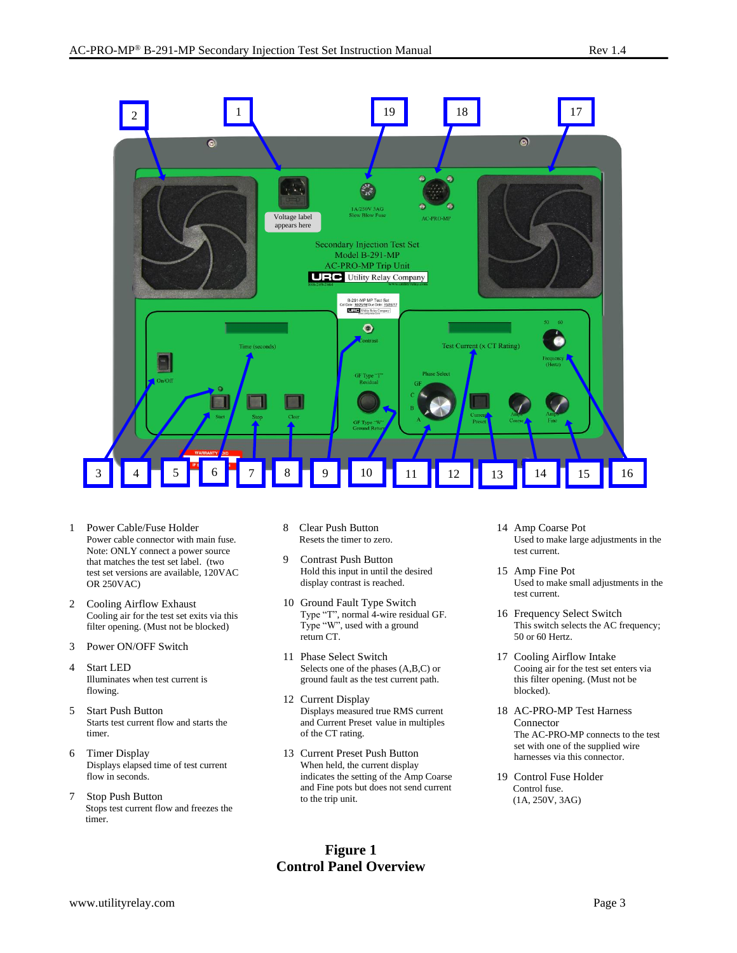

- 1 Power Cable/Fuse Holder Power cable connector with main fuse. Note: ONLY connect a power source that matches the test set label. (two test set versions are available, 120VAC OR 250VAC)
- 2 Cooling Airflow Exhaust Cooling air for the test set exits via this filter opening. (Must not be blocked)
- 3 Power ON/OFF Switch
- 4 Start LED Illuminates when test current is flowing.
- 5 Start Push Button Starts test current flow and starts the timer.
- 6 Timer Display Displays elapsed time of test current flow in seconds.
- 7 Stop Push Button Stops test current flow and freezes the timer.
- 8 Clear Push Button Resets the timer to zero.
- 9 Contrast Push Button Hold this input in until the desired display contrast is reached.
- 10 Ground Fault Type Switch Type "T", normal 4-wire residual GF. Type "W", used with a ground return CT.
- 11 Phase Select Switch Selects one of the phases (A,B,C) or ground fault as the test current path.
- 12 Current Display Displays measured true RMS current and Current Preset value in multiples of the CT rating.
- 13 Current Preset Push Button When held, the current display indicates the setting of the Amp Coarse and Fine pots but does not send current to the trip unit.

#### **Figure 1 Control Panel Overview**

- 14 Amp Coarse Pot Used to make large adjustments in the test current.
- 15 Amp Fine Pot Used to make small adjustments in the test current.
- 16 Frequency Select Switch This switch selects the AC frequency; 50 or 60 Hertz.
- 17 Cooling Airflow Intake Cooing air for the test set enters via this filter opening. (Must not be blocked).
- 18 AC-PRO-MP Test Harness Connector The AC-PRO-MP connects to the test set with one of the supplied wire harnesses via this connector.
- 19 Control Fuse Holder Control fuse. (1A, 250V, 3AG)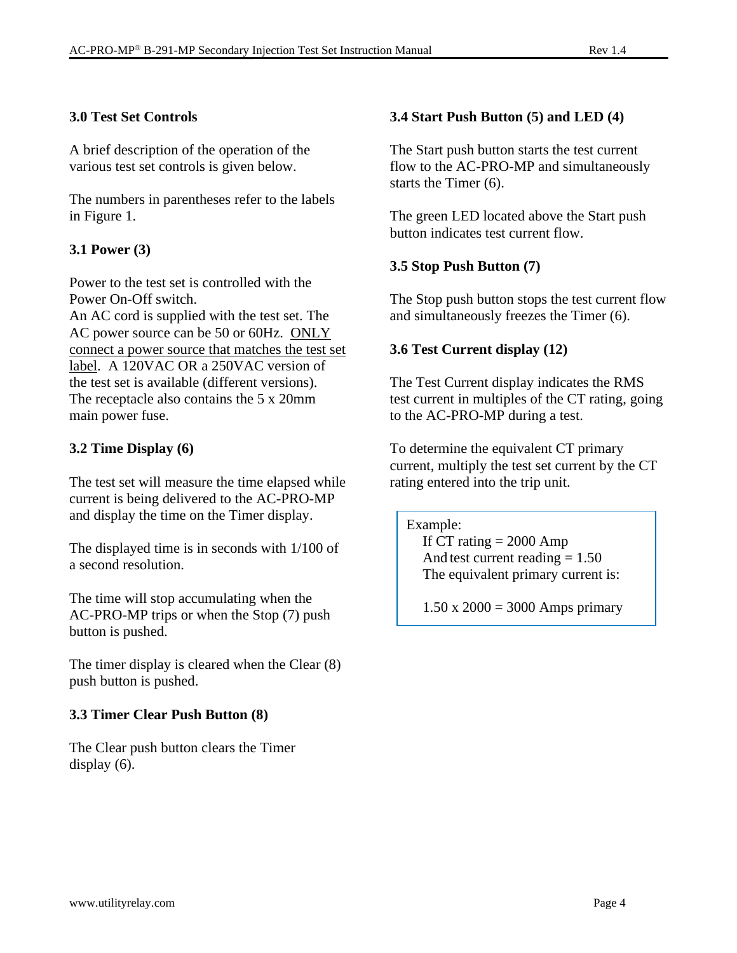# **3.0 Test Set Controls**

A brief description of the operation of the various test set controls is given below.

The numbers in parentheses refer to the labels in Figure 1.

# **3.1 Power (3)**

Power to the test set is controlled with the Power On-Off switch.

An AC cord is supplied with the test set. The AC power source can be 50 or 60Hz. ONLY connect a power source that matches the test set label. A 120VAC OR a 250VAC version of the test set is available (different versions). The receptacle also contains the 5 x 20mm main power fuse.

# **3.2 Time Display (6)**

The test set will measure the time elapsed while current is being delivered to the AC-PRO-MP and display the time on the Timer display.

The displayed time is in seconds with 1/100 of a second resolution.

The time will stop accumulating when the AC-PRO-MP trips or when the Stop (7) push button is pushed.

The timer display is cleared when the Clear (8) push button is pushed.

# **3.3 Timer Clear Push Button (8)**

The Clear push button clears the Timer display (6).

# **3.4 Start Push Button (5) and LED (4)**

The Start push button starts the test current flow to the AC-PRO-MP and simultaneously starts the Timer (6).

The green LED located above the Start push button indicates test current flow.

# **3.5 Stop Push Button (7)**

The Stop push button stops the test current flow and simultaneously freezes the Timer (6).

# **3.6 Test Current display (12)**

The Test Current display indicates the RMS test current in multiples of the CT rating, going to the AC-PRO-MP during a test.

To determine the equivalent CT primary current, multiply the test set current by the CT rating entered into the trip unit.

Example:

If CT rating  $= 2000$  Amp And test current reading  $= 1.50$ The equivalent primary current is:

 $1.50 \times 2000 = 3000$  Amps primary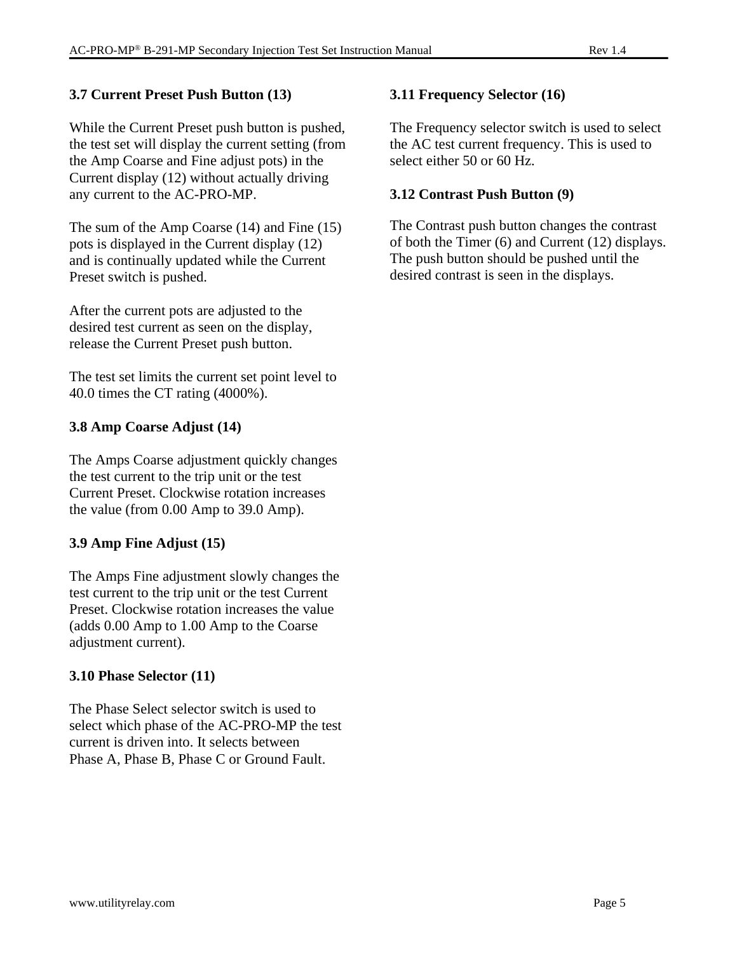# **3.7 Current Preset Push Button (13)**

While the Current Preset push button is pushed, the test set will display the current setting (from the Amp Coarse and Fine adjust pots) in the Current display (12) without actually driving any current to the AC-PRO-MP.

The sum of the Amp Coarse (14) and Fine (15) pots is displayed in the Current display (12) and is continually updated while the Current Preset switch is pushed.

After the current pots are adjusted to the desired test current as seen on the display, release the Current Preset push button.

The test set limits the current set point level to 40.0 times the CT rating (4000%).

# **3.8 Amp Coarse Adjust (14)**

The Amps Coarse adjustment quickly changes the test current to the trip unit or the test Current Preset. Clockwise rotation increases the value (from 0.00 Amp to 39.0 Amp).

#### **3.9 Amp Fine Adjust (15)**

The Amps Fine adjustment slowly changes the test current to the trip unit or the test Current Preset. Clockwise rotation increases the value (adds 0.00 Amp to 1.00 Amp to the Coarse adjustment current).

#### **3.10 Phase Selector (11)**

The Phase Select selector switch is used to select which phase of the AC-PRO-MP the test current is driven into. It selects between Phase A, Phase B, Phase C or Ground Fault.

#### **3.11 Frequency Selector (16)**

The Frequency selector switch is used to select the AC test current frequency. This is used to select either 50 or 60 Hz.

### **3.12 Contrast Push Button (9)**

The Contrast push button changes the contrast of both the Timer (6) and Current (12) displays. The push button should be pushed until the desired contrast is seen in the displays.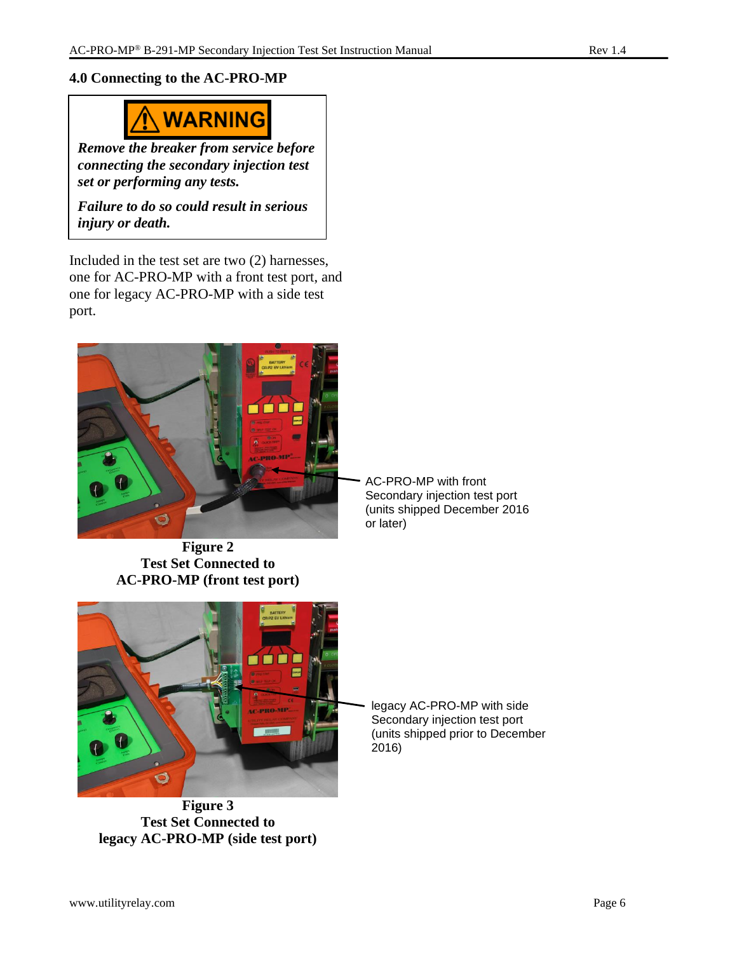# **4.0 Connecting to the AC-PRO-MP**



*Remove the breaker from service before connecting the secondary injection test set or performing any tests.*

*Failure to do so could result in serious injury or death.*

Included in the test set are two (2) harnesses, one for AC-PRO-MP with a front test port, and one for legacy AC-PRO-MP with a side test port.



AC-PRO-MP with front Secondary injection test port (units shipped December 2016 or later)

**Figure 2 Test Set Connected to AC-PRO-MP (front test port)**



**Figure 3 Test Set Connected to legacy AC-PRO-MP (side test port)**

legacy AC-PRO-MP with side Secondary injection test port (units shipped prior to December 2016)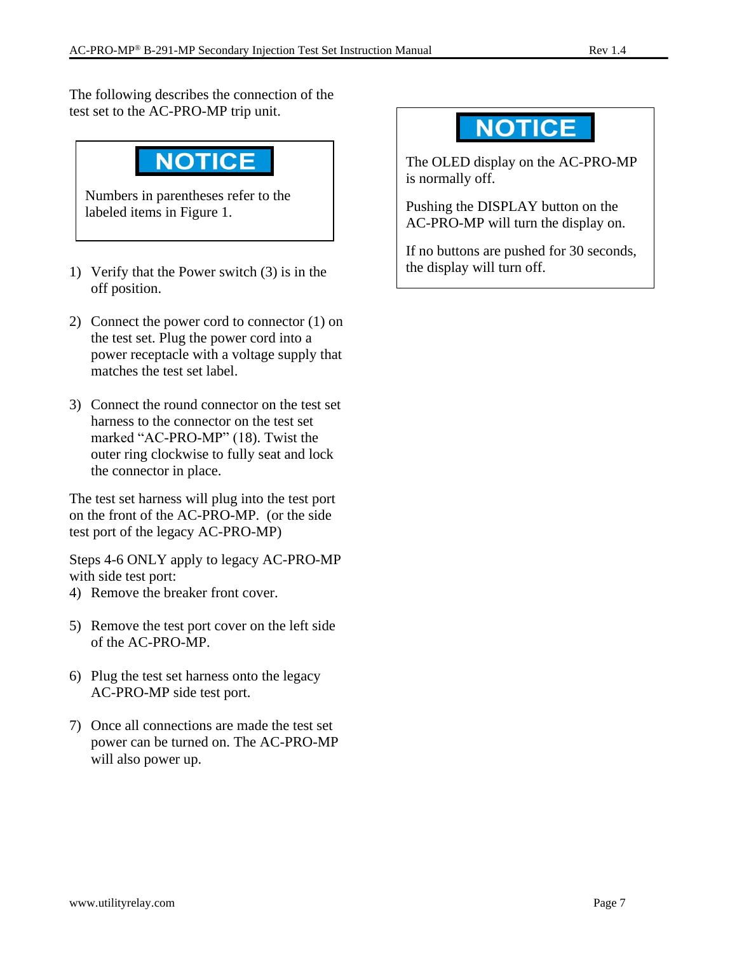The following describes the connection of the test set to the AC-PRO-MP trip unit.



Numbers in parentheses refer to the labeled items in Figure 1.

- 1) Verify that the Power switch (3) is in the off position.
- 2) Connect the power cord to connector (1) on the test set. Plug the power cord into a power receptacle with a voltage supply that matches the test set label.
- 3) Connect the round connector on the test set harness to the connector on the test set marked "AC-PRO-MP" (18). Twist the outer ring clockwise to fully seat and lock the connector in place.

The test set harness will plug into the test port on the front of the AC-PRO-MP. (or the side test port of the legacy AC-PRO-MP)

Steps 4-6 ONLY apply to legacy AC-PRO-MP with side test port:

- 4) Remove the breaker front cover.
- 5) Remove the test port cover on the left side of the AC-PRO-MP.
- 6) Plug the test set harness onto the legacy AC-PRO-MP side test port.
- 7) Once all connections are made the test set power can be turned on. The AC-PRO-MP will also power up.

# **NOTICE**

The OLED display on the AC-PRO-MP is normally off.

Pushing the DISPLAY button on the AC-PRO-MP will turn the display on.

If no buttons are pushed for 30 seconds, the display will turn off.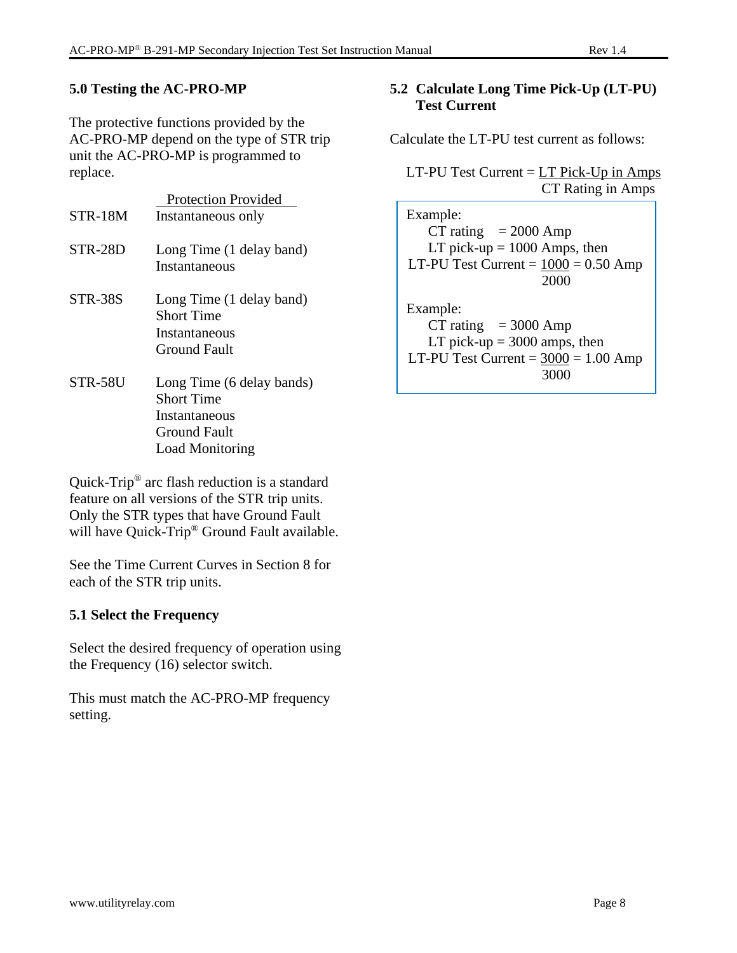# **5.0 Testing the AC-PRO-MP**

The protective functions provided by the AC-PRO-MP depend on the type of STR trip unit the AC-PRO-MP is programmed to replace.

|                | <b>Protection Provided</b>                                                                                       |
|----------------|------------------------------------------------------------------------------------------------------------------|
| STR-18M        | Instantaneous only                                                                                               |
| STR-28D        | Long Time (1 delay band)<br>Instantaneous                                                                        |
| <b>STR-38S</b> | Long Time (1 delay band)<br><b>Short Time</b><br>Instantaneous<br>Ground Fault                                   |
| <b>STR-58U</b> | Long Time (6 delay bands)<br><b>Short Time</b><br>Instantaneous<br><b>Ground Fault</b><br><b>Load Monitoring</b> |

Quick-Trip® arc flash reduction is a standard feature on all versions of the STR trip units. Only the STR types that have Ground Fault will have Quick-Trip® Ground Fault available.

See the Time Current Curves in Section 8 for each of the STR trip units.

#### **5.1 Select the Frequency**

Select the desired frequency of operation using the Frequency (16) selector switch.

This must match the AC-PRO-MP frequency setting.

### **5.2 Calculate Long Time Pick-Up (LT-PU) Test Current**

Calculate the LT-PU test current as follows:

| $LT$ -PU Test Current = $LT$ Pick-Up in Amps |                   |
|----------------------------------------------|-------------------|
|                                              | CT Rating in Amps |

Example: CT rating  $= 2000$  Amp LT pick-up  $= 1000$  Amps, then LT-PU Test Current  $= 1000 = 0.50$  Amp 2000 Example: CT rating  $= 3000$  Amp LT pick-up  $=$  3000 amps, then LT-PU Test Current  $= 3000 = 1.00$  Amp 3000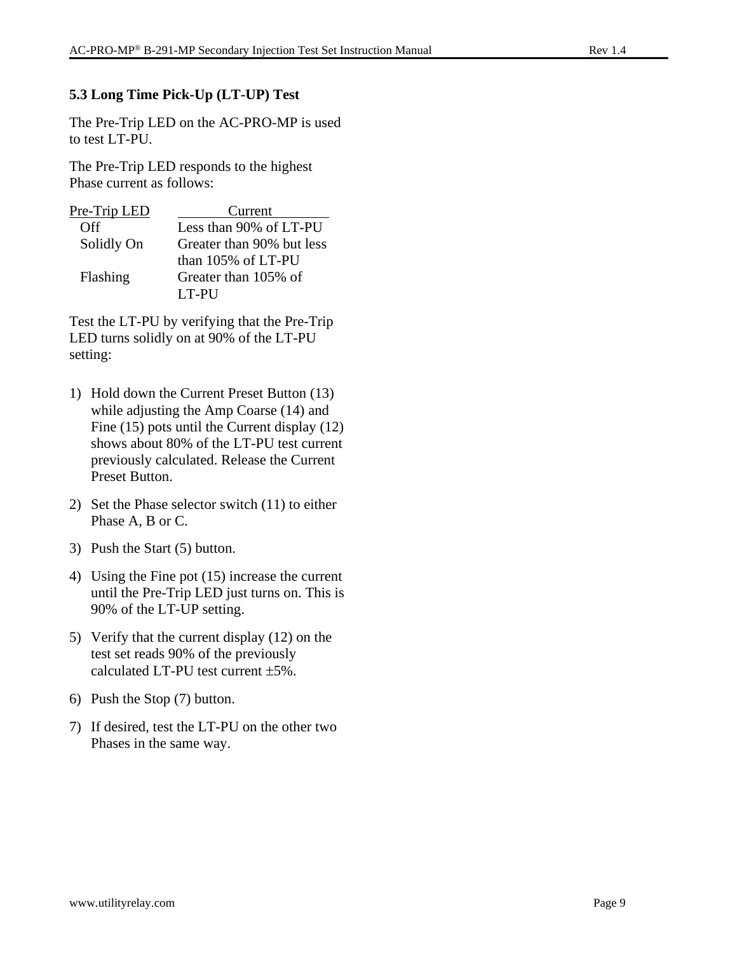#### **5.3 Long Time Pick-Up (LT-UP) Test**

The Pre-Trip LED on the AC-PRO-MP is used to test LT-PU.

The Pre-Trip LED responds to the highest Phase current as follows:

| Pre-Trip LED | Current                   |
|--------------|---------------------------|
| Off          | Less than 90% of LT-PU    |
| Solidly On   | Greater than 90% but less |
|              | than 105% of LT-PU        |
| Flashing     | Greater than 105% of      |
|              | $I.T-PII$                 |

Test the LT-PU by verifying that the Pre-Trip LED turns solidly on at 90% of the LT-PU setting:

- 1) Hold down the Current Preset Button (13) while adjusting the Amp Coarse (14) and Fine (15) pots until the Current display (12) shows about 80% of the LT-PU test current previously calculated. Release the Current Preset Button.
- 2) Set the Phase selector switch (11) to either Phase A, B or C.
- 3) Push the Start (5) button.
- 4) Using the Fine pot (15) increase the current until the Pre-Trip LED just turns on. This is 90% of the LT-UP setting.
- 5) Verify that the current display (12) on the test set reads 90% of the previously calculated LT-PU test current  $\pm 5\%$ .
- 6) Push the Stop (7) button.
- 7) If desired, test the LT-PU on the other two Phases in the same way.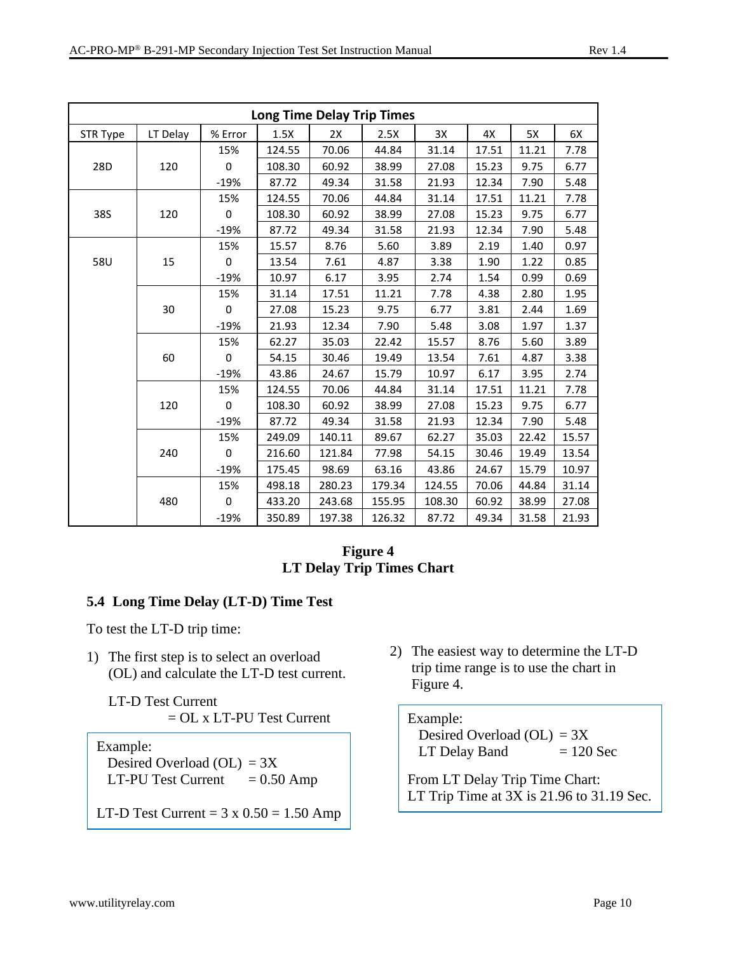|          |          |             | <b>Long Time Delay Trip Times</b> |        |        |        |       |       |       |
|----------|----------|-------------|-----------------------------------|--------|--------|--------|-------|-------|-------|
| STR Type | LT Delay | % Error     | 1.5X                              | 2X     | 2.5X   | 3X     | 4X    | 5X    | 6X    |
|          |          | 15%         | 124.55                            | 70.06  | 44.84  | 31.14  | 17.51 | 11.21 | 7.78  |
| 28D      | 120      | 0           | 108.30                            | 60.92  | 38.99  | 27.08  | 15.23 | 9.75  | 6.77  |
|          |          | $-19%$      | 87.72                             | 49.34  | 31.58  | 21.93  | 12.34 | 7.90  | 5.48  |
|          |          | 15%         | 124.55                            | 70.06  | 44.84  | 31.14  | 17.51 | 11.21 | 7.78  |
| 38S      | 120      | $\mathbf 0$ | 108.30                            | 60.92  | 38.99  | 27.08  | 15.23 | 9.75  | 6.77  |
|          |          | $-19%$      | 87.72                             | 49.34  | 31.58  | 21.93  | 12.34 | 7.90  | 5.48  |
|          |          | 15%         | 15.57                             | 8.76   | 5.60   | 3.89   | 2.19  | 1.40  | 0.97  |
| 58U      | 15       | $\mathbf 0$ | 13.54                             | 7.61   | 4.87   | 3.38   | 1.90  | 1.22  | 0.85  |
|          |          | $-19%$      | 10.97                             | 6.17   | 3.95   | 2.74   | 1.54  | 0.99  | 0.69  |
|          |          | 15%         | 31.14                             | 17.51  | 11.21  | 7.78   | 4.38  | 2.80  | 1.95  |
|          | 30       | 0           | 27.08                             | 15.23  | 9.75   | 6.77   | 3.81  | 2.44  | 1.69  |
|          |          | $-19%$      | 21.93                             | 12.34  | 7.90   | 5.48   | 3.08  | 1.97  | 1.37  |
|          |          | 15%         | 62.27                             | 35.03  | 22.42  | 15.57  | 8.76  | 5.60  | 3.89  |
|          | 60       | 0           | 54.15                             | 30.46  | 19.49  | 13.54  | 7.61  | 4.87  | 3.38  |
|          |          | $-19%$      | 43.86                             | 24.67  | 15.79  | 10.97  | 6.17  | 3.95  | 2.74  |
|          |          | 15%         | 124.55                            | 70.06  | 44.84  | 31.14  | 17.51 | 11.21 | 7.78  |
|          | 120      | 0           | 108.30                            | 60.92  | 38.99  | 27.08  | 15.23 | 9.75  | 6.77  |
|          |          | $-19%$      | 87.72                             | 49.34  | 31.58  | 21.93  | 12.34 | 7.90  | 5.48  |
|          |          | 15%         | 249.09                            | 140.11 | 89.67  | 62.27  | 35.03 | 22.42 | 15.57 |
|          | 240      | 0           | 216.60                            | 121.84 | 77.98  | 54.15  | 30.46 | 19.49 | 13.54 |
|          |          | $-19%$      | 175.45                            | 98.69  | 63.16  | 43.86  | 24.67 | 15.79 | 10.97 |
|          |          | 15%         | 498.18                            | 280.23 | 179.34 | 124.55 | 70.06 | 44.84 | 31.14 |
|          | 480      | 0           | 433.20                            | 243.68 | 155.95 | 108.30 | 60.92 | 38.99 | 27.08 |
|          |          | $-19%$      | 350.89                            | 197.38 | 126.32 | 87.72  | 49.34 | 31.58 | 21.93 |

#### **Figure 4 LT Delay Trip Times Chart**

# **5.4 Long Time Delay (LT-D) Time Test**

To test the LT-D trip time:

1) The first step is to select an overload (OL) and calculate the LT-D test current.

LT-D Test Current = OL x LT-PU Test Current

Example:

Desired Overload (OL) =  $3X$ LT-PU Test Current  $= 0.50$  Amp

LT-D Test Current =  $3 \times 0.50 = 1.50$  Amp

2) The easiest way to determine the LT-D trip time range is to use the chart in Figure 4.

Example: Desired Overload (OL) =  $3X$  $LT$  Delay Band  $= 120$  Sec From LT Delay Trip Time Chart: LT Trip Time at 3X is 21.96 to 31.19 Sec.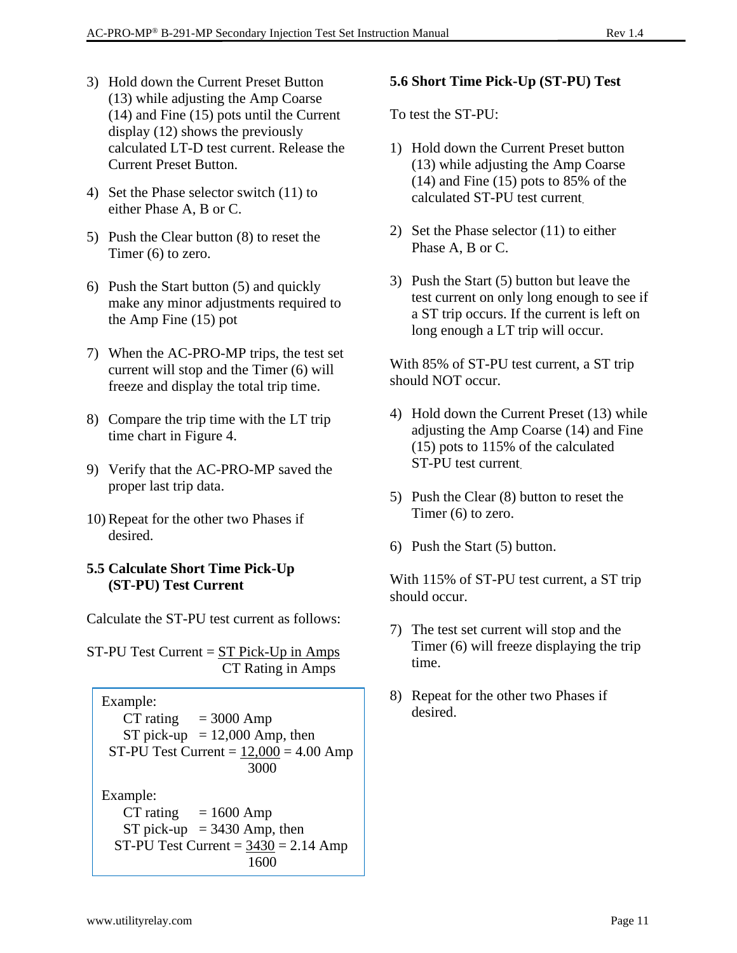- 3) Hold down the Current Preset Button (13) while adjusting the Amp Coarse (14) and Fine (15) pots until the Current display (12) shows the previously calculated LT-D test current. Release the Current Preset Button.
- 4) Set the Phase selector switch (11) to either Phase A, B or C.
- 5) Push the Clear button (8) to reset the Timer (6) to zero.
- 6) Push the Start button (5) and quickly make any minor adjustments required to the Amp Fine (15) pot
- 7) When the AC-PRO-MP trips, the test set current will stop and the Timer (6) will freeze and display the total trip time.
- 8) Compare the trip time with the LT trip time chart in Figure 4.
- 9) Verify that the AC-PRO-MP saved the proper last trip data.
- 10) Repeat for the other two Phases if desired.

#### **5.5 Calculate Short Time Pick-Up (ST-PU) Test Current**

Calculate the ST-PU test current as follows:

 $ST-PU Test Current = ST Pick-Up in Amps$ CT Rating in Amps

Example: CT rating  $= 3000$  Amp ST pick-up  $= 12,000$  Amp, then ST-PU Test Current  $= 12,000 = 4.00$  Amp 3000 Example:  $CT$  rating  $= 1600$  Amp ST pick-up  $= 3430$  Amp, then ST-PU Test Current  $= 3430 = 2.14$  Amp 1600

#### **5.6 Short Time Pick-Up (ST-PU) Test**

To test the ST-PU:

- 1) Hold down the Current Preset button (13) while adjusting the Amp Coarse (14) and Fine (15) pots to 85% of the calculated ST-PU test current.
- 2) Set the Phase selector (11) to either Phase A, B or C.
- 3) Push the Start (5) button but leave the test current on only long enough to see if a ST trip occurs. If the current is left on long enough a LT trip will occur.

With 85% of ST-PU test current, a ST trip should NOT occur.

- 4) Hold down the Current Preset (13) while adjusting the Amp Coarse (14) and Fine (15) pots to 115% of the calculated ST-PU test current.
- 5) Push the Clear (8) button to reset the Timer (6) to zero.
- 6) Push the Start (5) button.

With 115% of ST-PU test current, a ST trip should occur.

- 7) The test set current will stop and the Timer (6) will freeze displaying the trip time.
- 8) Repeat for the other two Phases if desired.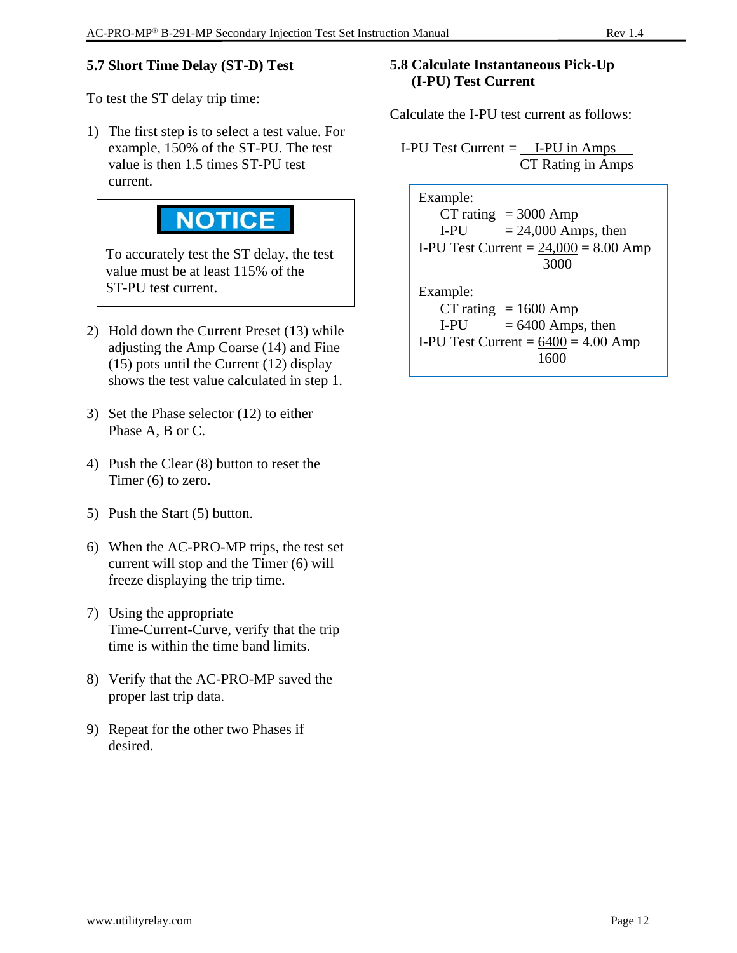#### **5.7 Short Time Delay (ST-D) Test**

To test the ST delay trip time:

1) The first step is to select a test value. For example, 150% of the ST-PU. The test value is then 1.5 times ST-PU test current.

# **NOTICE**

To accurately test the ST delay, the test value must be at least 115% of the ST-PU test current.

- 2) Hold down the Current Preset (13) while adjusting the Amp Coarse (14) and Fine (15) pots until the Current (12) display shows the test value calculated in step 1.
- 3) Set the Phase selector (12) to either Phase A, B or C.
- 4) Push the Clear (8) button to reset the Timer (6) to zero.
- 5) Push the Start (5) button.
- 6) When the AC-PRO-MP trips, the test set current will stop and the Timer (6) will freeze displaying the trip time.
- 7) Using the appropriate Time-Current-Curve, verify that the trip time is within the time band limits.
- 8) Verify that the AC-PRO-MP saved the proper last trip data.
- 9) Repeat for the other two Phases if desired.

#### **5.8 Calculate Instantaneous Pick-Up (I-PU) Test Current**

Calculate the I-PU test current as follows:

I-PU Test Current  $=$  I-PU in Amps CT Rating in Amps

| Example:<br>CT rating $= 3000$ Amp<br>I-PU<br>$= 24,000$ Amps, then<br>I-PU Test Current = $24,000 = 8.00$ Amp<br>3000 |
|------------------------------------------------------------------------------------------------------------------------|
| Example:<br>CT rating $= 1600$ Amp<br>$= 6400$ Amps, then<br>I-PU                                                      |
| I-PU Test Current = $6400 = 4.00$ Amp<br>1600                                                                          |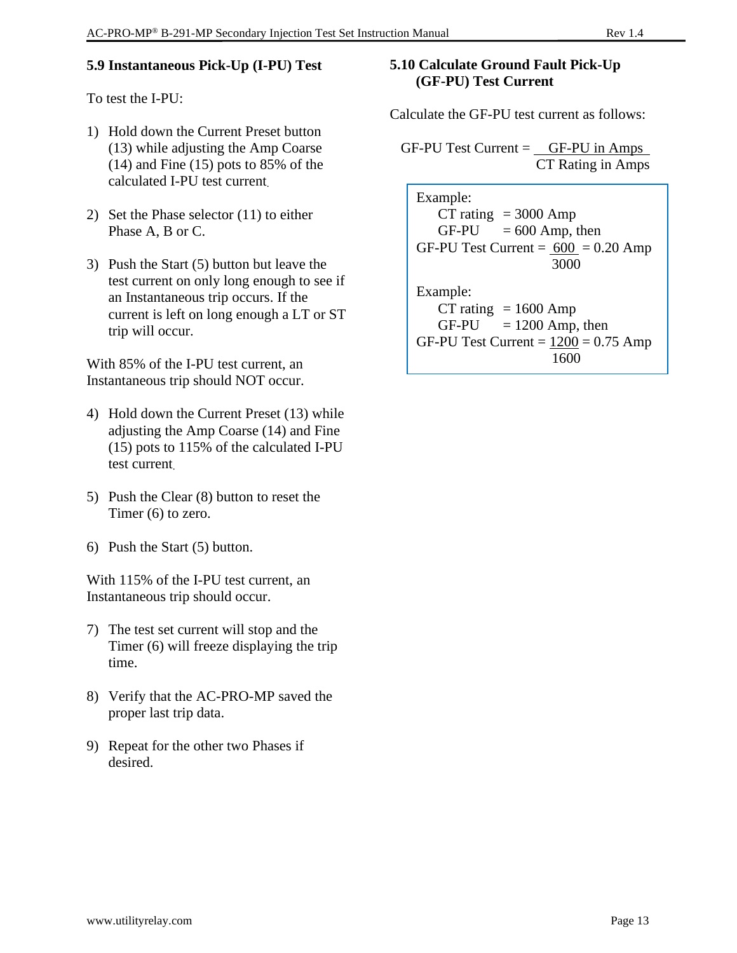# **5.9 Instantaneous Pick-Up (I-PU) Test**

To test the I-PU:

- 1) Hold down the Current Preset button (13) while adjusting the Amp Coarse (14) and Fine (15) pots to 85% of the calculated I-PU test current.
- 2) Set the Phase selector (11) to either Phase A, B or C.
- 3) Push the Start (5) button but leave the test current on only long enough to see if an Instantaneous trip occurs. If the current is left on long enough a LT or ST trip will occur.

With 85% of the I-PU test current, an Instantaneous trip should NOT occur.

- 4) Hold down the Current Preset (13) while adjusting the Amp Coarse (14) and Fine (15) pots to 115% of the calculated I-PU test current.
- 5) Push the Clear (8) button to reset the Timer (6) to zero.
- 6) Push the Start (5) button.

With 115% of the I-PU test current, an Instantaneous trip should occur.

- 7) The test set current will stop and the Timer (6) will freeze displaying the trip time.
- 8) Verify that the AC-PRO-MP saved the proper last trip data.
- 9) Repeat for the other two Phases if desired.

#### **5.10 Calculate Ground Fault Pick-Up (GF-PU) Test Current**

Calculate the GF-PU test current as follows:

 $GF-PU Test Current = GF-PU in Amps$ CT Rating in Amps

| Example:<br>CT rating $= 3000$ Amp<br>$GF-PU = 600$ Amp, then<br>GF-PU Test Current = $600 = 0.20$ Amp<br>3000 |
|----------------------------------------------------------------------------------------------------------------|
| Example:<br>$CT$ rating = 1600 Amp                                                                             |
| $GF-PU = 1200$ Amp, then                                                                                       |
| GF-PU Test Current = $1200 = 0.75$ Amp                                                                         |
| 1600                                                                                                           |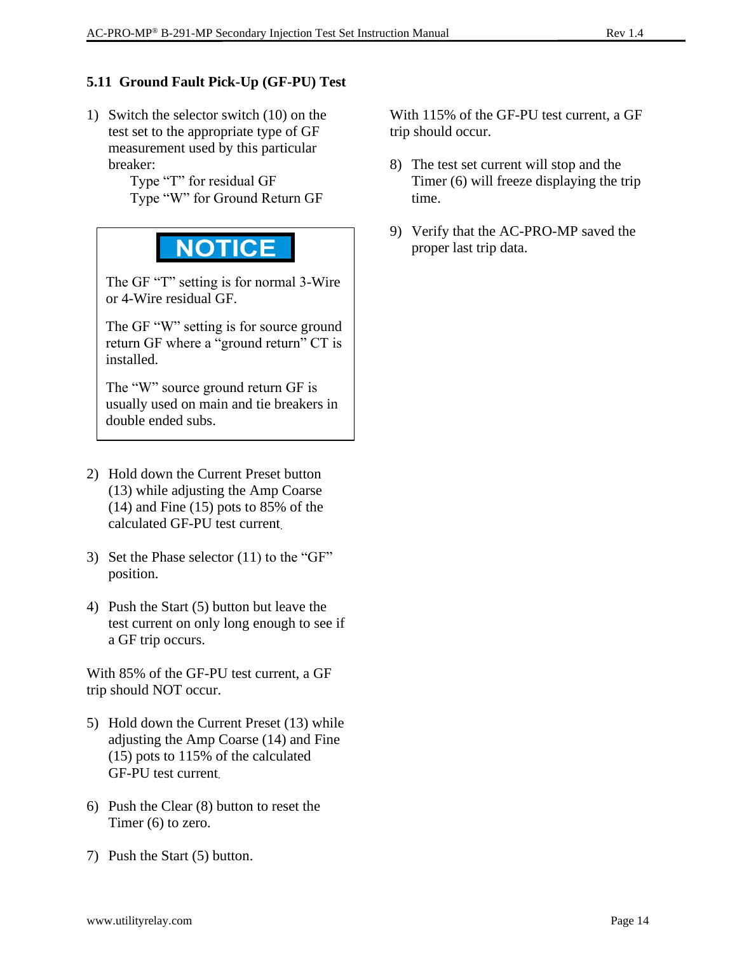# **5.11 Ground Fault Pick-Up (GF-PU) Test**

1) Switch the selector switch (10) on the test set to the appropriate type of GF measurement used by this particular breaker:

Type "T" for residual GF Type "W" for Ground Return GF

# **NOTICE**

The GF "T" setting is for normal 3-Wire or 4-Wire residual GF.

The GF "W" setting is for source ground return GF where a "ground return" CT is installed.

The "W" source ground return GF is usually used on main and tie breakers in double ended subs.

- 2) Hold down the Current Preset button (13) while adjusting the Amp Coarse (14) and Fine (15) pots to 85% of the calculated GF-PU test current.
- 3) Set the Phase selector (11) to the "GF" position.
- 4) Push the Start (5) button but leave the test current on only long enough to see if a GF trip occurs.

With 85% of the GF-PU test current, a GF trip should NOT occur.

- 5) Hold down the Current Preset (13) while adjusting the Amp Coarse (14) and Fine (15) pots to 115% of the calculated GF-PU test current.
- 6) Push the Clear (8) button to reset the Timer (6) to zero.
- 7) Push the Start (5) button.

With 115% of the GF-PU test current, a GF trip should occur.

- 8) The test set current will stop and the Timer (6) will freeze displaying the trip time.
- 9) Verify that the AC-PRO-MP saved the proper last trip data.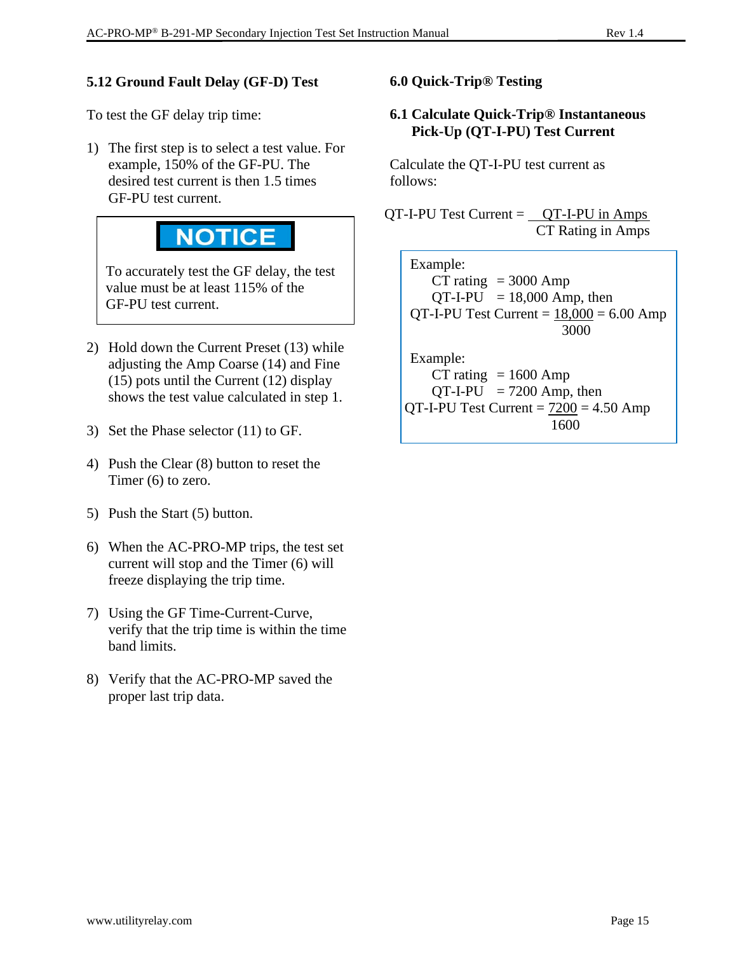#### **5.12 Ground Fault Delay (GF-D) Test**

To test the GF delay trip time:

1) The first step is to select a test value. For example, 150% of the GF-PU. The desired test current is then 1.5 times GF-PU test current.



To accurately test the GF delay, the test value must be at least 115% of the GF-PU test current.

- 2) Hold down the Current Preset (13) while adjusting the Amp Coarse (14) and Fine (15) pots until the Current (12) display shows the test value calculated in step 1.
- 3) Set the Phase selector (11) to GF.
- 4) Push the Clear (8) button to reset the Timer (6) to zero.
- 5) Push the Start (5) button.
- 6) When the AC-PRO-MP trips, the test set current will stop and the Timer (6) will freeze displaying the trip time.
- 7) Using the GF Time-Current-Curve, verify that the trip time is within the time band limits.
- 8) Verify that the AC-PRO-MP saved the proper last trip data.

**6.0 Quick-Trip® Testing**

#### **6.1 Calculate Quick-Trip® Instantaneous Pick-Up (QT-I-PU) Test Current**

Calculate the QT-I-PU test current as follows:

 $QT-I-PU Test Current =  $QT-I-PU$  in Amps$ CT Rating in Amps

Example: CT rating  $= 3000$  Amp  $QT-I-PU = 18,000$  Amp, then  $QT-I-PU Test Current =  $18,000 = 6.00$  Amp$  3000 Example: CT rating  $= 1600$  Amp  $QT-I-PU = 7200$  Amp, then QT-I-PU Test Current  $= 7200 = 4.50$  Amp 1600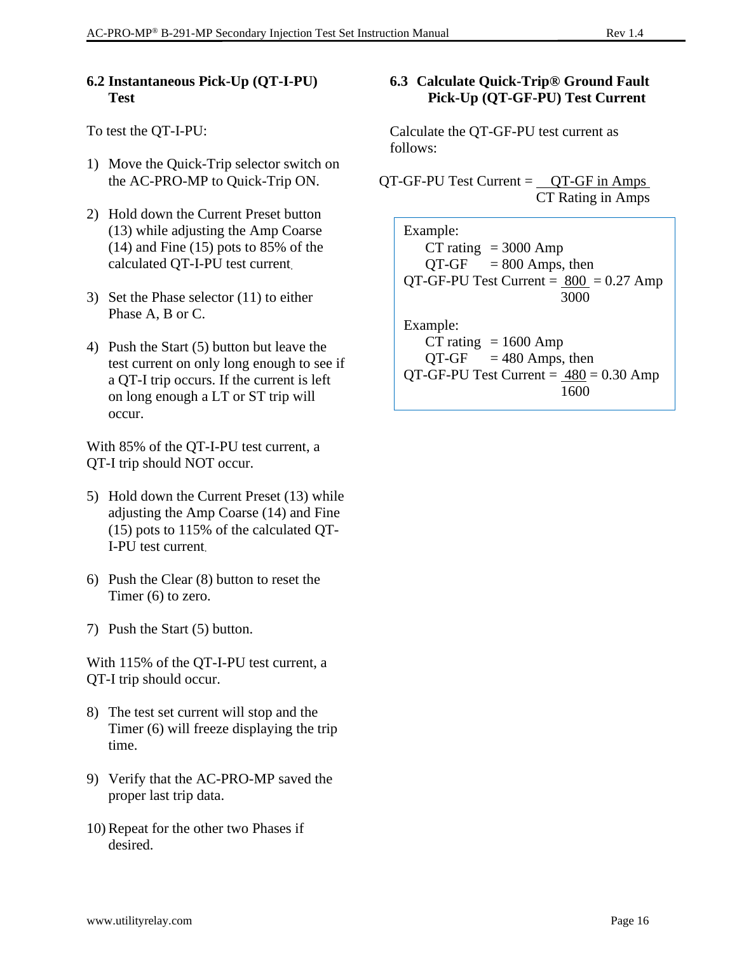#### **6.2 Instantaneous Pick-Up (QT-I-PU) Test**

To test the QT-I-PU:

- 1) Move the Quick-Trip selector switch on the AC-PRO-MP to Quick-Trip ON.
- 2) Hold down the Current Preset button (13) while adjusting the Amp Coarse (14) and Fine (15) pots to 85% of the calculated QT-I-PU test current.
- 3) Set the Phase selector (11) to either Phase A, B or C.
- 4) Push the Start (5) button but leave the test current on only long enough to see if a QT-I trip occurs. If the current is left on long enough a LT or ST trip will occur.

With 85% of the QT-I-PU test current, a QT-I trip should NOT occur.

- 5) Hold down the Current Preset (13) while adjusting the Amp Coarse (14) and Fine (15) pots to 115% of the calculated QT-I-PU test current.
- 6) Push the Clear (8) button to reset the Timer (6) to zero.
- 7) Push the Start (5) button.

With 115% of the QT-I-PU test current, a QT-I trip should occur.

- 8) The test set current will stop and the Timer (6) will freeze displaying the trip time.
- 9) Verify that the AC-PRO-MP saved the proper last trip data.
- 10) Repeat for the other two Phases if desired.

# **6.3 Calculate Quick-Trip® Ground Fault Pick-Up (QT-GF-PU) Test Current**

Calculate the QT-GF-PU test current as follows:

 $QT-GF-PU$  Test Current =  $QT-GF$  in Amps CT Rating in Amps

| Example:<br>CT rating $= 3000$ Amp<br>$QT-GF = 800$ Amps, then<br>QT-GF-PU Test Current = $800 = 0.27$ Amp<br>3000 |
|--------------------------------------------------------------------------------------------------------------------|
| Example:<br>CT rating $= 1600$ Amp<br>$QT-GF = 480$ Amps, then<br>$QT-GF-PU$ Test Current = $480 = 0.30$ Amp       |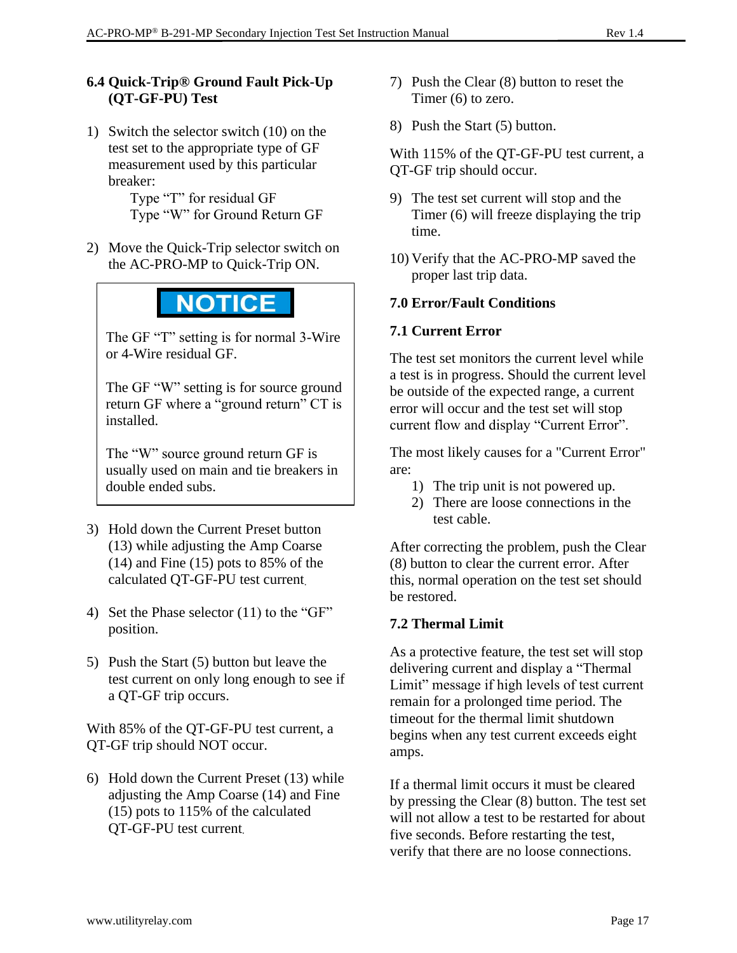### **6.4 Quick-Trip® Ground Fault Pick-Up (QT-GF-PU) Test**

1) Switch the selector switch (10) on the test set to the appropriate type of GF measurement used by this particular breaker:

> Type "T" for residual GF Type "W" for Ground Return GF

2) Move the Quick-Trip selector switch on the AC-PRO-MP to Quick-Trip ON.

# **NOTICE**

The GF "T" setting is for normal 3-Wire or 4-Wire residual GF.

The GF "W" setting is for source ground return GF where a "ground return" CT is installed.

The "W" source ground return GF is usually used on main and tie breakers in double ended subs.

- 3) Hold down the Current Preset button (13) while adjusting the Amp Coarse  $(14)$  and Fine  $(15)$  pots to 85% of the calculated QT-GF-PU test current.
- 4) Set the Phase selector (11) to the "GF" position.
- 5) Push the Start (5) button but leave the test current on only long enough to see if a QT-GF trip occurs.

With 85% of the QT-GF-PU test current, a QT-GF trip should NOT occur.

6) Hold down the Current Preset (13) while adjusting the Amp Coarse (14) and Fine (15) pots to 115% of the calculated QT-GF-PU test current.

- 7) Push the Clear (8) button to reset the Timer (6) to zero.
- 8) Push the Start (5) button.

With 115% of the QT-GF-PU test current, a QT-GF trip should occur.

- 9) The test set current will stop and the Timer (6) will freeze displaying the trip time.
- 10) Verify that the AC-PRO-MP saved the proper last trip data.

# **7.0 Error/Fault Conditions**

# **7.1 Current Error**

The test set monitors the current level while a test is in progress. Should the current level be outside of the expected range, a current error will occur and the test set will stop current flow and display "Current Error".

The most likely causes for a "Current Error" are:

- 1) The trip unit is not powered up.
- 2) There are loose connections in the test cable.

After correcting the problem, push the Clear (8) button to clear the current error. After this, normal operation on the test set should be restored.

#### **7.2 Thermal Limit**

As a protective feature, the test set will stop delivering current and display a "Thermal Limit" message if high levels of test current remain for a prolonged time period. The timeout for the thermal limit shutdown begins when any test current exceeds eight amps.

If a thermal limit occurs it must be cleared by pressing the Clear (8) button. The test set will not allow a test to be restarted for about five seconds. Before restarting the test, verify that there are no loose connections.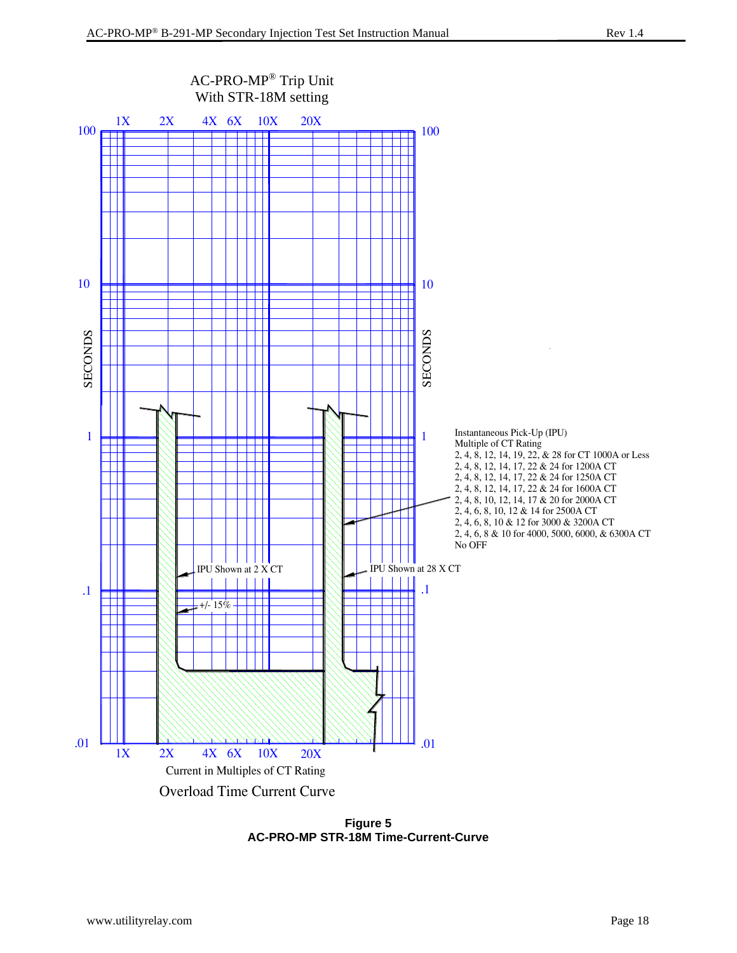

**Figure 5 AC-PRO-MP STR-18M Time-Current-Curve**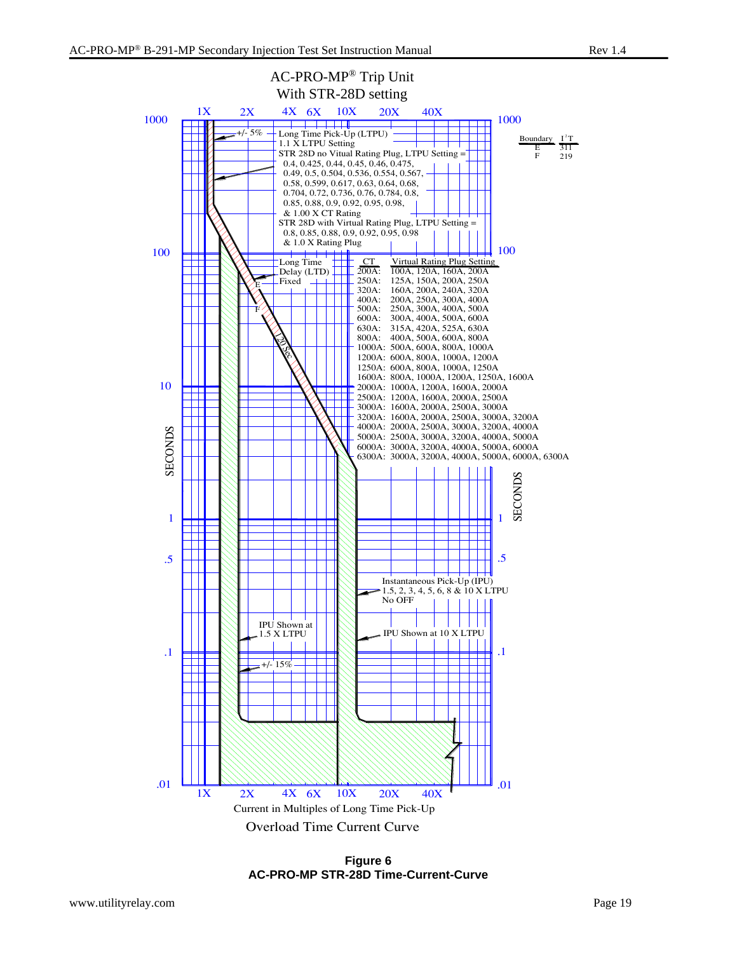

#### **Figure 6 AC-PRO-MP STR-28D Time-Current-Curve**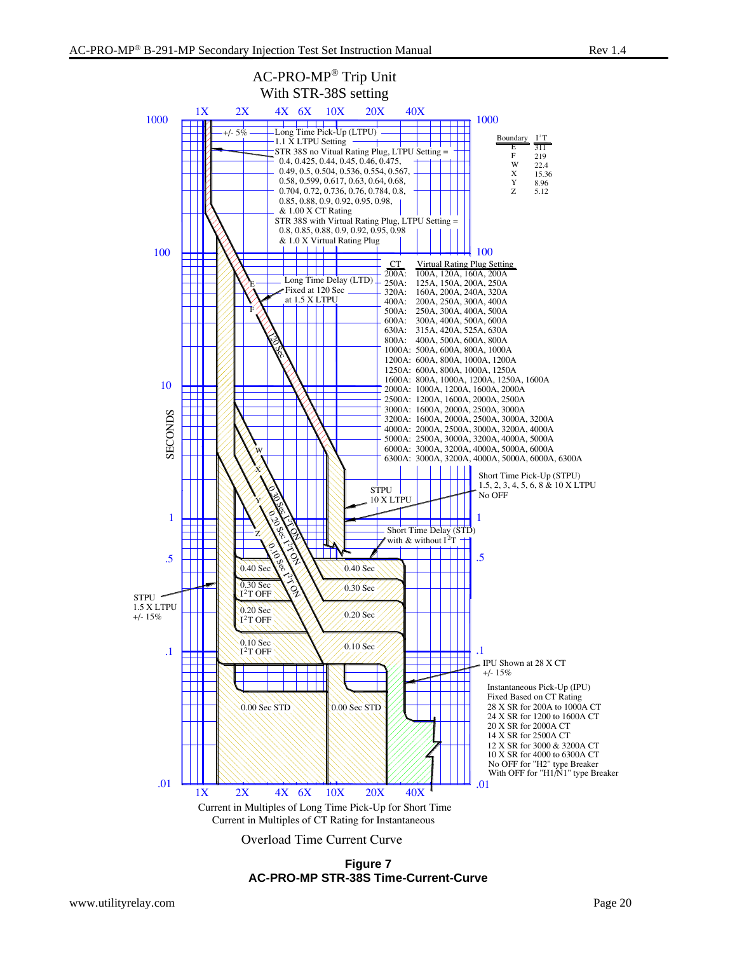

Overload Time Current Curve

**Figure 7 AC-PRO-MP STR-38S Time-Current-Curve**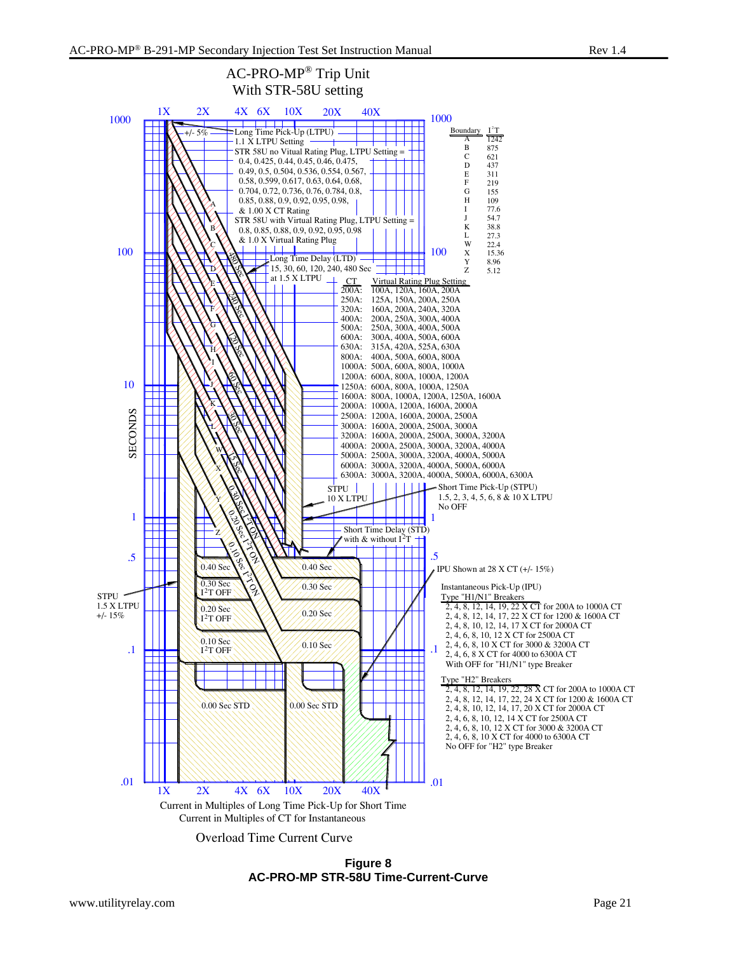

Overload Time Current Curve

**Figure 8 AC-PRO-MP STR-58U Time-Current-Curve**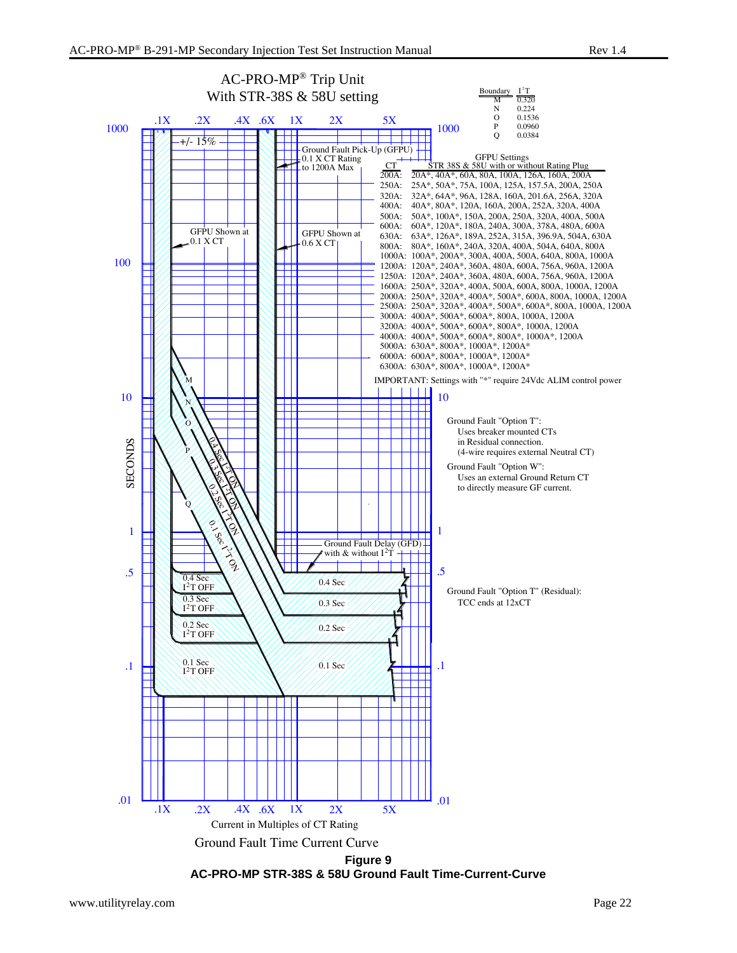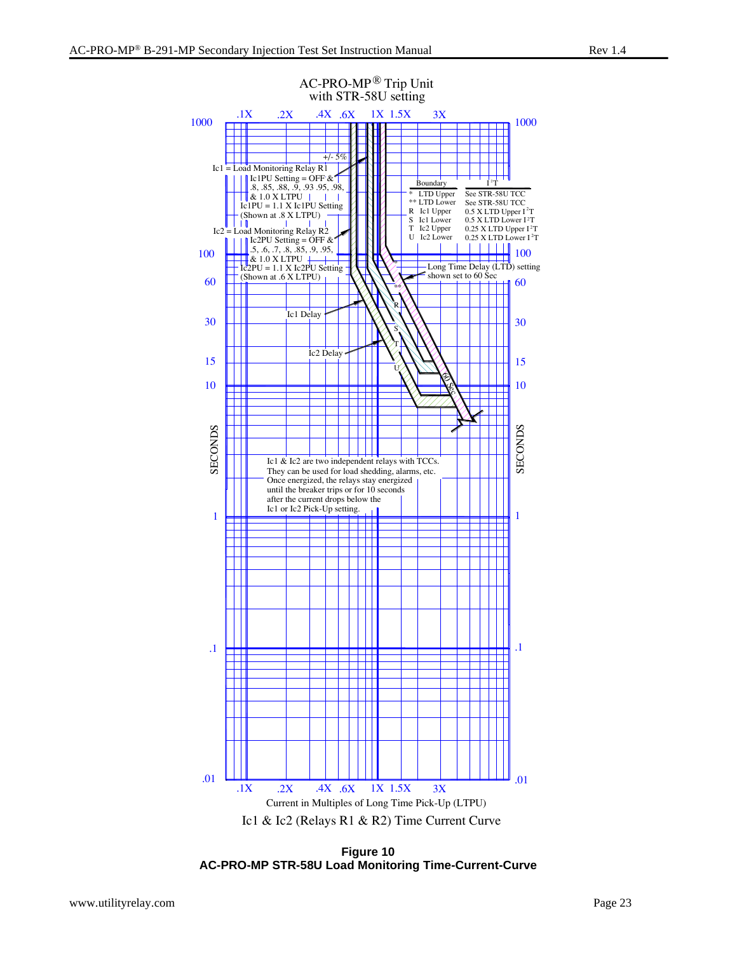

**Figure 10 AC-PRO-MP STR-58U Load Monitoring Time-Current-Curve**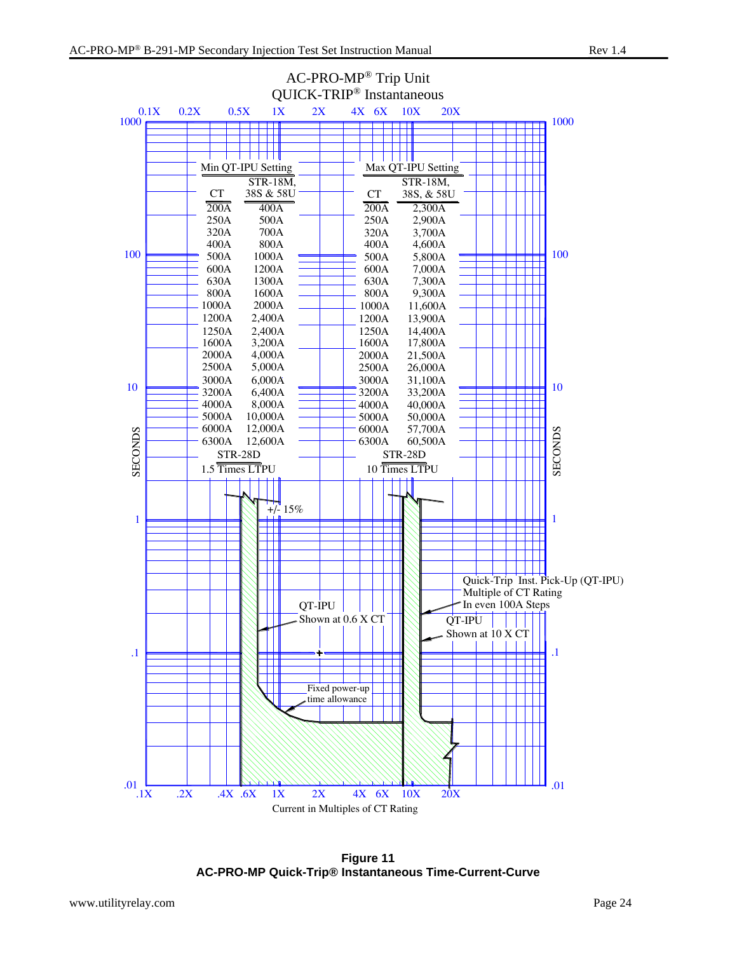

**Figure 11 AC-PRO-MP Quick-Trip® Instantaneous Time-Current-Curve**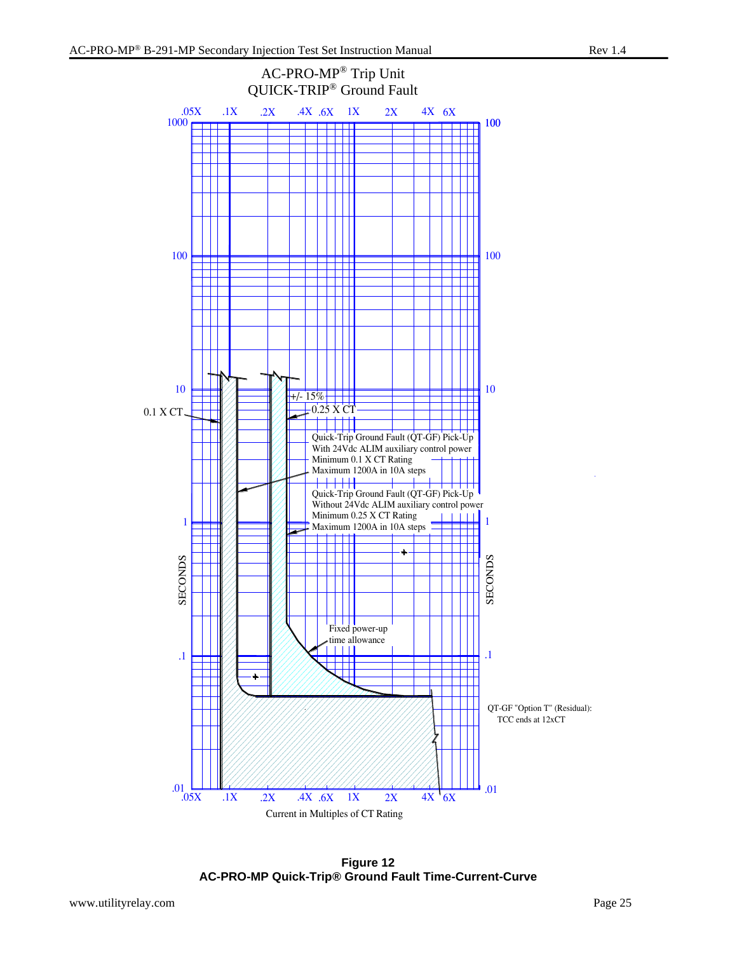

**Figure 12 AC-PRO-MP Quick-Trip® Ground Fault Time-Current-Curve**